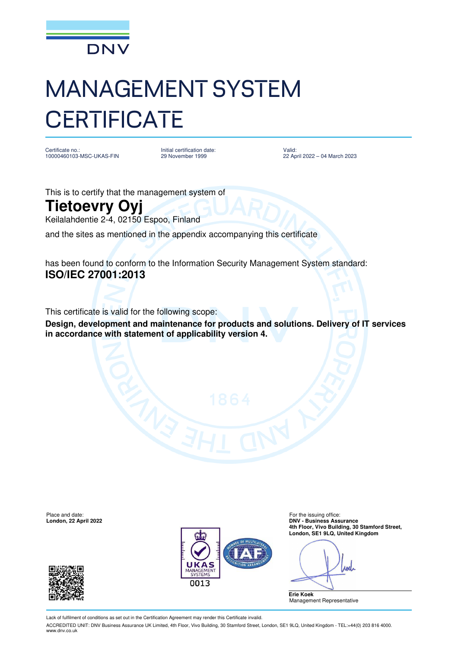

## MANAGEMENT SYSTEM **CERTIFICATE**

Certificate no.: 10000460103-MSC-UKAS-FIN Initial certification date: 29 November 1999

Valid: 22 April 2022 – 04 March 2023

This is to certify that the management system of

## **Tietoevry Oyj**

Keilalahdentie 2-4, 02150 Espoo, Finland

and the sites as mentioned in the appendix accompanying this certificate

has been found to conform to the Information Security Management System standard: **ISO/IEC 27001:2013**

This certificate is valid for the following scope:

**Design, development and maintenance for products and solutions. Delivery of IT services in accordance with statement of applicability version 4.** 

Place and date: For the issuing office:<br> **Place and date:** For the issuing office:<br> **Place and date:** For the issuing office:<br> **PDNV** - Business Ass





**London, 22 April 2022 DNV - Business Assurance 4th Floor, Vivo Building, 30 Stamford Street, London, SE1 9LQ, United Kingdom**

And

**Erie Koek** Management Representative

Lack of fulfilment of conditions as set out in the Certification Agreement may render this Certificate invalid.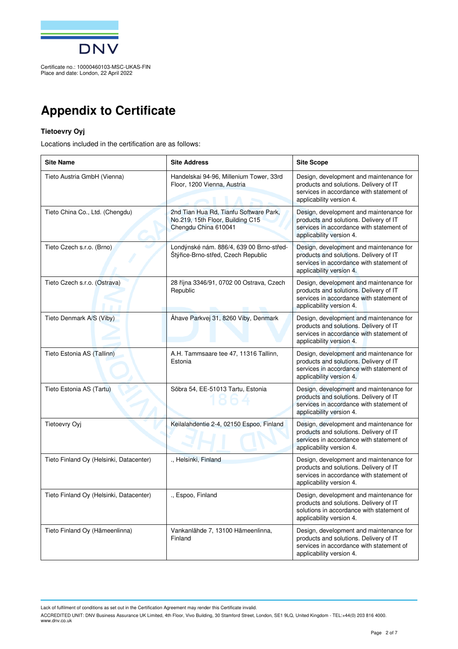

## **Appendix to Certificate**

## **Tietoevry Oyj**

Locations included in the certification are as follows:

| <b>Site Name</b>                        | <b>Site Address</b>                                                                                | <b>Site Scope</b>                                                                                                                                          |
|-----------------------------------------|----------------------------------------------------------------------------------------------------|------------------------------------------------------------------------------------------------------------------------------------------------------------|
| Tieto Austria GmbH (Vienna)             | Handelskai 94-96, Millenium Tower, 33rd<br>Floor, 1200 Vienna, Austria                             | Design, development and maintenance for<br>products and solutions. Delivery of IT<br>services in accordance with statement of<br>applicability version 4.  |
| Tieto China Co., Ltd. (Chengdu)         | 2nd Tian Hua Rd, Tianfu Software Park,<br>No.219, 15th Floor, Building C15<br>Chengdu China 610041 | Design, development and maintenance for<br>products and solutions. Delivery of IT<br>services in accordance with statement of<br>applicability version 4.  |
| Tieto Czech s.r.o. (Brno)               | Londýnské nám. 886/4, 639 00 Brno-střed-<br>Štýřice-Brno-střed, Czech Republic                     | Design, development and maintenance for<br>products and solutions. Delivery of IT<br>services in accordance with statement of<br>applicability version 4.  |
| Tieto Czech s.r.o. (Ostrava)            | 28 října 3346/91, 0702 00 Ostrava, Czech<br>Republic                                               | Design, development and maintenance for<br>products and solutions. Delivery of IT<br>services in accordance with statement of<br>applicability version 4.  |
| Tieto Denmark A/S (Viby)                | Åhave Parkvej 31, 8260 Viby, Denmark                                                               | Design, development and maintenance for<br>products and solutions. Delivery of IT<br>services in accordance with statement of<br>applicability version 4.  |
| Tieto Estonia AS (Tallinn)              | A.H. Tammsaare tee 47, 11316 Tallinn,<br>Estonia                                                   | Design, development and maintenance for<br>products and solutions. Delivery of IT<br>services in accordance with statement of<br>applicability version 4.  |
| Tieto Estonia AS (Tartu)                | Sõbra 54, EE-51013 Tartu, Estonia                                                                  | Design, development and maintenance for<br>products and solutions. Delivery of IT<br>services in accordance with statement of<br>applicability version 4.  |
| Tietoevry Oyj                           | Keilalahdentie 2-4, 02150 Espoo, Finland                                                           | Design, development and maintenance for<br>products and solutions. Delivery of IT<br>services in accordance with statement of<br>applicability version 4.  |
| Tieto Finland Oy (Helsinki, Datacenter) | ., Helsinki, Finland                                                                               | Design, development and maintenance for<br>products and solutions. Delivery of IT<br>services in accordance with statement of<br>applicability version 4.  |
| Tieto Finland Oy (Helsinki, Datacenter) | ., Espoo, Finland                                                                                  | Design, development and maintenance for<br>products and solutions. Delivery of IT<br>solutions in accordance with statement of<br>applicability version 4. |
| Tieto Finland Oy (Hämeenlinna)          | Vankanlähde 7, 13100 Hämeenlinna,<br>Finland                                                       | Design, development and maintenance for<br>products and solutions. Delivery of IT<br>services in accordance with statement of<br>applicability version 4.  |

Lack of fulfilment of conditions as set out in the Certification Agreement may render this Certificate invalid.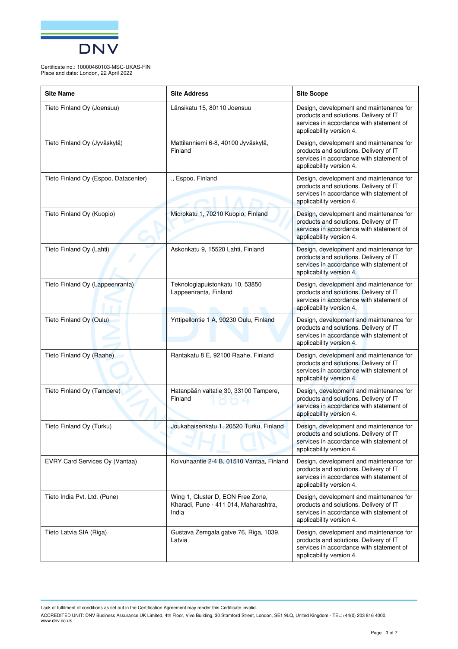

| <b>Site Name</b>                     | <b>Site Address</b>                                                                 | <b>Site Scope</b>                                                                                                                                         |
|--------------------------------------|-------------------------------------------------------------------------------------|-----------------------------------------------------------------------------------------------------------------------------------------------------------|
| Tieto Finland Oy (Joensuu)           | Länsikatu 15, 80110 Joensuu                                                         | Design, development and maintenance for<br>products and solutions. Delivery of IT<br>services in accordance with statement of<br>applicability version 4. |
| Tieto Finland Oy (Jyväskylä)         | Mattilanniemi 6-8, 40100 Jyväskylä,<br>Finland                                      | Design, development and maintenance for<br>products and solutions. Delivery of IT<br>services in accordance with statement of<br>applicability version 4. |
| Tieto Finland Oy (Espoo, Datacenter) | ., Espoo, Finland                                                                   | Design, development and maintenance for<br>products and solutions. Delivery of IT<br>services in accordance with statement of<br>applicability version 4. |
| Tieto Finland Oy (Kuopio)            | Microkatu 1, 70210 Kuopio, Finland                                                  | Design, development and maintenance for<br>products and solutions. Delivery of IT<br>services in accordance with statement of<br>applicability version 4. |
| Tieto Finland Oy (Lahti)             | Askonkatu 9, 15520 Lahti, Finland                                                   | Design, development and maintenance for<br>products and solutions. Delivery of IT<br>services in accordance with statement of<br>applicability version 4. |
| Tieto Finland Oy (Lappeenranta)      | Teknologiapuistonkatu 10, 53850<br>Lappeenranta, Finland                            | Design, development and maintenance for<br>products and solutions. Delivery of IT<br>services in accordance with statement of<br>applicability version 4. |
| Tieto Finland Oy (Oulu)              | Yrttipellontie 1 A, 90230 Oulu, Finland                                             | Design, development and maintenance for<br>products and solutions. Delivery of IT<br>services in accordance with statement of<br>applicability version 4. |
| Tieto Finland Oy (Raahe)             | Rantakatu 8 E, 92100 Raahe, Finland                                                 | Design, development and maintenance for<br>products and solutions. Delivery of IT<br>services in accordance with statement of<br>applicability version 4. |
| Tieto Finland Oy (Tampere)           | Hatanpään valtatie 30, 33100 Tampere,<br>Finland                                    | Design, development and maintenance for<br>products and solutions. Delivery of IT<br>services in accordance with statement of<br>applicability version 4. |
| Tieto Finland Oy (Turku)             | Joukahaisenkatu 1, 20520 Turku, Finland                                             | Design, development and maintenance for<br>products and solutions. Delivery of IT<br>services in accordance with statement of<br>applicability version 4. |
| EVRY Card Services Oy (Vantaa)       | Koivuhaantie 2-4 B, 01510 Vantaa, Finland                                           | Design, development and maintenance for<br>products and solutions. Delivery of IT<br>services in accordance with statement of<br>applicability version 4. |
| Tieto India Pvt. Ltd. (Pune)         | Wing 1, Cluster D, EON Free Zone,<br>Kharadi, Pune - 411 014, Maharashtra,<br>India | Design, development and maintenance for<br>products and solutions. Delivery of IT<br>services in accordance with statement of<br>applicability version 4. |
| Tieto Latvia SIA (Riga)              | Gustava Zemgala gatve 76, Riga, 1039,<br>Latvia                                     | Design, development and maintenance for<br>products and solutions. Delivery of IT<br>services in accordance with statement of<br>applicability version 4. |

Lack of fulfilment of conditions as set out in the Certification Agreement may render this Certificate invalid.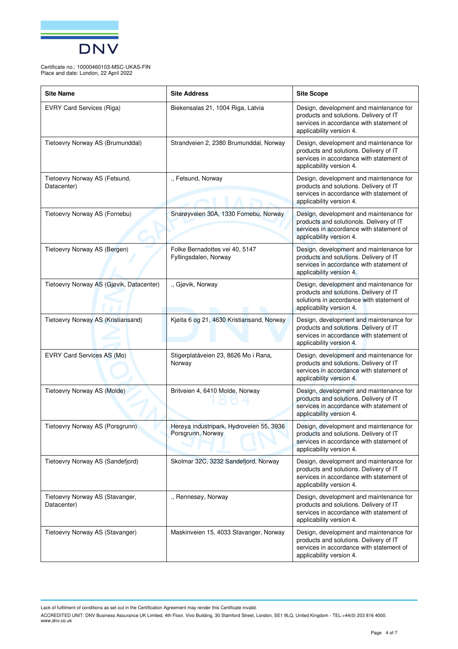

| <b>Site Name</b>                               | <b>Site Address</b>                                           | <b>Site Scope</b>                                                                                                                                           |
|------------------------------------------------|---------------------------------------------------------------|-------------------------------------------------------------------------------------------------------------------------------------------------------------|
| <b>EVRY Card Services (Riga)</b>               | Biekensalas 21, 1004 Riga, Latvia                             | Design, development and maintenance for<br>products and solutions. Delivery of IT<br>services in accordance with statement of<br>applicability version 4.   |
| Tietoevry Norway AS (Brumunddal)               | Strandveien 2, 2380 Brumunddal, Norway                        | Design, development and maintenance for<br>products and solutions. Delivery of IT<br>services in accordance with statement of<br>applicability version 4.   |
| Tietoevry Norway AS (Fetsund,<br>Datacenter)   | ., Fetsund, Norway                                            | Design, development and maintenance for<br>products and solutions. Delivery of IT<br>services in accordance with statement of<br>applicability version 4.   |
| Tietoevry Norway AS (Fornebu)                  | Snarøyveien 30A, 1330 Fornebu, Norway                         | Design, development and maintenance for<br>products and solutionols. Delivery of IT<br>services in accordance with statement of<br>applicability version 4. |
| Tietoevry Norway AS (Bergen)                   | Folke Bernadottes vei 40, 5147<br>Fyllingsdalen, Norway       | Design, development and maintenance for<br>products and solutions. Delivery of IT<br>services in accordance with statement of<br>applicability version 4.   |
| Tietoevry Norway AS (Gjøvik, Datacenter)       | ., Gjøvik, Norway                                             | Design, development and maintenance for<br>products and solutions. Delivery of IT<br>solutions in accordance with statement of<br>applicability version 4.  |
| Tietoevry Norway AS (Kristiansand)             | Kjøita 6 og 21, 4630 Kristiansand, Norway                     | Design, development and maintenance for<br>products and solutions. Delivery of IT<br>services in accordance with statement of<br>applicability version 4.   |
| EVRY Card Services AS (Mo)                     | Stigerplatåveien 23, 8626 Mo i Rana,<br>Norway                | Design, development and maintenance for<br>products and solutions. Delivery of IT<br>services in accordance with statement of<br>applicability version 4.   |
| Tietoevry Norway AS (Molde)                    | Britveien 4, 6410 Molde, Norway                               | Design, development and maintenance for<br>products and solutions. Delivery of IT<br>services in accordance with statement of<br>applicability version 4.   |
| Tietoevry Norway AS (Porsgrunn)                | Herøya industripark, Hydroveien 55, 3936<br>Porsgrunn, Norway | Design, development and maintenance for<br>products and solutions. Delivery of IT<br>services in accordance with statement of<br>applicability version 4.   |
| Tietoevry Norway AS (Sandefjord)               | Skolmar 32C, 3232 Sandefjord, Norway                          | Design, development and maintenance for<br>products and solutions. Delivery of IT<br>services in accordance with statement of<br>applicability version 4.   |
| Tietoevry Norway AS (Stavanger,<br>Datacenter) | ., Rennesøy, Norway                                           | Design, development and maintenance for<br>products and solutions. Delivery of IT<br>services in accordance with statement of<br>applicability version 4.   |
| Tietoevry Norway AS (Stavanger)                | Maskinveien 15, 4033 Stavanger, Norway                        | Design, development and maintenance for<br>products and solutions. Delivery of IT<br>services in accordance with statement of<br>applicability version 4.   |

Lack of fulfilment of conditions as set out in the Certification Agreement may render this Certificate invalid.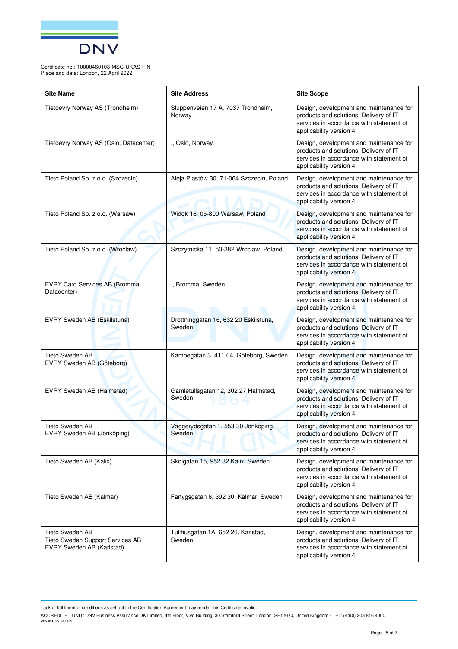

| <b>Site Name</b>                                                                 | <b>Site Address</b>                             | <b>Site Scope</b>                                                                                                                                         |
|----------------------------------------------------------------------------------|-------------------------------------------------|-----------------------------------------------------------------------------------------------------------------------------------------------------------|
| Tietoevry Norway AS (Trondheim)                                                  | Sluppenveien 17 A, 7037 Trondheim,<br>Norway    | Design, development and maintenance for<br>products and solutions. Delivery of IT<br>services in accordance with statement of<br>applicability version 4. |
| Tietoevry Norway AS (Oslo, Datacenter)                                           | ., Oslo, Norway                                 | Design, development and maintenance for<br>products and solutions. Delivery of IT<br>services in accordance with statement of<br>applicability version 4. |
| Tieto Poland Sp. z o.o. (Szczecin)                                               | Aleja Piastów 30, 71-064 Szczecin, Poland       | Design, development and maintenance for<br>products and solutions. Delivery of IT<br>services in accordance with statement of<br>applicability version 4. |
| Tieto Poland Sp. z o.o. (Warsaw)                                                 | Widok 16, 05-800 Warsaw, Poland                 | Design, development and maintenance for<br>products and solutions. Delivery of IT<br>services in accordance with statement of<br>applicability version 4. |
| Tieto Poland Sp. z o.o. (Wroclaw)                                                | Szczytnicka 11, 50-382 Wroclaw, Poland          | Design, development and maintenance for<br>products and solutions. Delivery of IT<br>services in accordance with statement of<br>applicability version 4. |
| EVRY Card Services AB (Bromma,<br>Datacenter)                                    | ., Bromma, Sweden                               | Design, development and maintenance for<br>products and solutions. Delivery of IT<br>services in accordance with statement of<br>applicability version 4. |
| EVRY Sweden AB (Eskilstuna)                                                      | Drottninggatan 16, 632 20 Eskilstuna,<br>Sweden | Design, development and maintenance for<br>products and solutions. Delivery of IT<br>services in accordance with statement of<br>applicability version 4. |
| Tieto Sweden AB<br>EVRY Sweden AB (Göteborg)                                     | Kämpegatan 3, 411 04, Göteborg, Sweden          | Design, development and maintenance for<br>products and solutions. Delivery of IT<br>services in accordance with statement of<br>applicability version 4. |
| EVRY Sweden AB (Halmstad)                                                        | Gamletullsgatan 12, 302 27 Halmstad,<br>Sweden  | Design, development and maintenance for<br>products and solutions. Delivery of IT<br>services in accordance with statement of<br>applicability version 4. |
| <b>Tieto Sweden AB</b><br>EVRY Sweden AB (Jönköping)                             | Vaggerydsgatan 1, 553 30 Jönköping,<br>Sweden   | Design, development and maintenance for<br>products and solutions. Delivery of IT<br>services in accordance with statement of<br>applicability version 4. |
| Tieto Sweden AB (Kalix)                                                          | Skolgatan 15, 952 32 Kalix, Sweden              | Design, development and maintenance for<br>products and solutions. Delivery of IT<br>services in accordance with statement of<br>applicability version 4. |
| Tieto Sweden AB (Kalmar)                                                         | Fartygsgatan 6, 392 30, Kalmar, Sweden          | Design, development and maintenance for<br>products and solutions. Delivery of IT<br>services in accordance with statement of<br>applicability version 4. |
| Tieto Sweden AB<br>Tieto Sweden Support Services AB<br>EVRY Sweden AB (Karlstad) | Tullhusgatan 1A, 652 26, Karlstad,<br>Sweden    | Design, development and maintenance for<br>products and solutions. Delivery of IT<br>services in accordance with statement of<br>applicability version 4. |

Lack of fulfilment of conditions as set out in the Certification Agreement may render this Certificate invalid.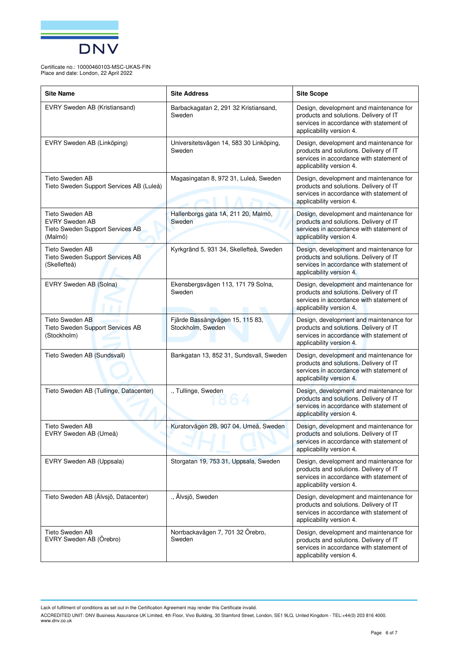

| <b>Site Name</b>                                                                        | <b>Site Address</b>                                  | <b>Site Scope</b>                                                                                                                                         |
|-----------------------------------------------------------------------------------------|------------------------------------------------------|-----------------------------------------------------------------------------------------------------------------------------------------------------------|
| EVRY Sweden AB (Kristiansand)                                                           | Barbackagatan 2, 291 32 Kristiansand,<br>Sweden      | Design, development and maintenance for<br>products and solutions. Delivery of IT<br>services in accordance with statement of<br>applicability version 4. |
| EVRY Sweden AB (Linköping)                                                              | Universitetsvägen 14, 583 30 Linköping,<br>Sweden    | Design, development and maintenance for<br>products and solutions. Delivery of IT<br>services in accordance with statement of<br>applicability version 4. |
| Tieto Sweden AB<br>Tieto Sweden Support Services AB (Luleå)                             | Magasingatan 8, 972 31, Luleå, Sweden                | Design, development and maintenance for<br>products and solutions. Delivery of IT<br>services in accordance with statement of<br>applicability version 4. |
| Tieto Sweden AB<br><b>EVRY Sweden AB</b><br>Tieto Sweden Support Services AB<br>(Malmö) | Hallenborgs gata 1A, 211 20, Malmö,<br>Sweden        | Design, development and maintenance for<br>products and solutions. Delivery of IT<br>services in accordance with statement of<br>applicability version 4. |
| Tieto Sweden AB<br>Tieto Sweden Support Services AB<br>(Skellefteå)                     | Kyrkgränd 5, 931 34, Skellefteå, Sweden              | Design, development and maintenance for<br>products and solutions. Delivery of IT<br>services in accordance with statement of<br>applicability version 4. |
| EVRY Sweden AB (Solna)                                                                  | Ekensbergsvägen 113, 171 79 Solna,<br>Sweden         | Design, development and maintenance for<br>products and solutions. Delivery of IT<br>services in accordance with statement of<br>applicability version 4. |
| Tieto Sweden AB<br>Tieto Sweden Support Services AB<br>(Stockholm)                      | Fjärde Bassängvägen 15, 115 83,<br>Stockholm, Sweden | Design, development and maintenance for<br>products and solutions. Delivery of IT<br>services in accordance with statement of<br>applicability version 4. |
| Tieto Sweden AB (Sundsvall)                                                             | Bankgatan 13, 852 31, Sundsvall, Sweden              | Design, development and maintenance for<br>products and solutions. Delivery of IT<br>services in accordance with statement of<br>applicability version 4. |
| Tieto Sweden AB (Tullinge, Datacenter)                                                  | ., Tullinge, Sweden                                  | Design, development and maintenance for<br>products and solutions. Delivery of IT<br>services in accordance with statement of<br>applicability version 4. |
| Tieto Sweden AB<br>EVRY Sweden AB (Umeå)                                                | Kuratorvägen 2B, 907 04, Umeå, Sweden                | Design, development and maintenance for<br>products and solutions. Delivery of IT<br>services in accordance with statement of<br>applicability version 4. |
| EVRY Sweden AB (Uppsala)                                                                | Storgatan 19, 753 31, Uppsala, Sweden                | Design, development and maintenance for<br>products and solutions. Delivery of IT<br>services in accordance with statement of<br>applicability version 4. |
| Tieto Sweden AB (Älvsjö, Datacenter)                                                    | ., Älvsjö, Sweden                                    | Design, development and maintenance for<br>products and solutions. Delivery of IT<br>services in accordance with statement of<br>applicability version 4. |
| Tieto Sweden AB<br>EVRY Sweden AB (Örebro)                                              | Norrbackavägen 7, 701 32 Örebro,<br>Sweden           | Design, development and maintenance for<br>products and solutions. Delivery of IT<br>services in accordance with statement of<br>applicability version 4. |

Lack of fulfilment of conditions as set out in the Certification Agreement may render this Certificate invalid.